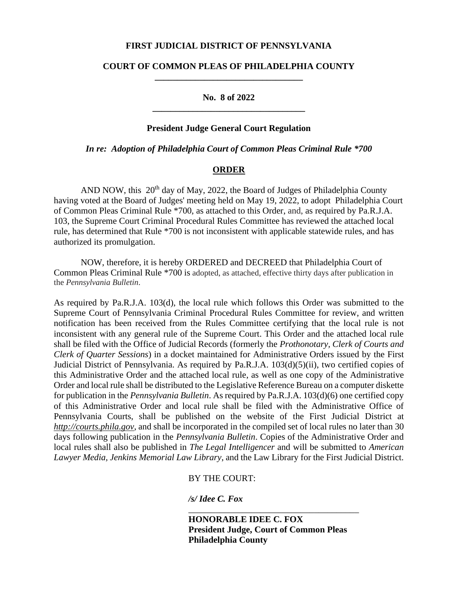## **FIRST JUDICIAL DISTRICT OF PENNSYLVANIA**

# **COURT OF COMMON PLEAS OF PHILADELPHIA COUNTY \_\_\_\_\_\_\_\_\_\_\_\_\_\_\_\_\_\_\_\_\_\_\_\_\_\_\_\_\_\_\_\_\_**

# **No. 8 of 2022 \_\_\_\_\_\_\_\_\_\_\_\_\_\_\_\_\_\_\_\_\_\_\_\_\_\_\_\_\_\_\_\_\_\_**

### **President Judge General Court Regulation**

# *In re: Adoption of Philadelphia Court of Common Pleas Criminal Rule \*700*

### **ORDER**

AND NOW, this  $20<sup>th</sup>$  day of May, 2022, the Board of Judges of Philadelphia County having voted at the Board of Judges' meeting held on May 19, 2022, to adopt Philadelphia Court of Common Pleas Criminal Rule \*700, as attached to this Order, and, as required by Pa.R.J.A. 103, the Supreme Court Criminal Procedural Rules Committee has reviewed the attached local rule, has determined that Rule \*700 is not inconsistent with applicable statewide rules, and has authorized its promulgation.

NOW, therefore, it is hereby ORDERED and DECREED that Philadelphia Court of Common Pleas Criminal Rule \*700 is adopted, as attached, effective thirty days after publication in the *Pennsylvania Bulletin*.

As required by Pa.R.J.A. 103(d), the local rule which follows this Order was submitted to the Supreme Court of Pennsylvania Criminal Procedural Rules Committee for review, and written notification has been received from the Rules Committee certifying that the local rule is not inconsistent with any general rule of the Supreme Court. This Order and the attached local rule shall be filed with the Office of Judicial Records (formerly the *Prothonotary, Clerk of Courts and Clerk of Quarter Sessions*) in a docket maintained for Administrative Orders issued by the First Judicial District of Pennsylvania. As required by Pa.R.J.A. 103(d)(5)(ii), two certified copies of this Administrative Order and the attached local rule, as well as one copy of the Administrative Order and local rule shall be distributed to the Legislative Reference Bureau on a computer diskette for publication in the *Pennsylvania Bulletin*. As required by Pa.R.J.A. 103(d)(6) one certified copy of this Administrative Order and local rule shall be filed with the Administrative Office of Pennsylvania Courts, shall be published on the website of the First Judicial District at *[http://courts.phila.gov](http://courts.phila.gov./)*, and shall be incorporated in the compiled set of local rules no later than 30 days following publication in the *Pennsylvania Bulletin*. Copies of the Administrative Order and local rules shall also be published in *The Legal Intelligencer* and will be submitted to *American Lawyer Media, Jenkins Memorial Law Library*, and the Law Library for the First Judicial District.

BY THE COURT:

*/s/ Idee C. Fox*

**HONORABLE IDEE C. FOX President Judge, Court of Common Pleas Philadelphia County**

\_\_\_\_\_\_\_\_\_\_\_\_\_\_\_\_\_\_\_\_\_\_\_\_\_\_\_\_\_\_\_\_\_\_\_\_\_\_